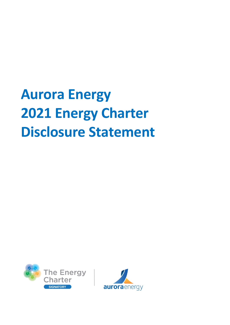# **Aurora Energy 2021 Energy Charter Disclosure Statement**



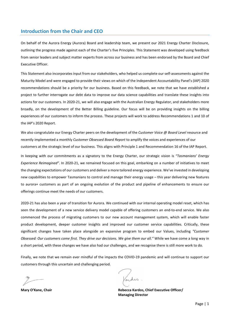# **Introduction from the Chair and CEO**

On behalf of the Aurora Energy (Aurora) Board and leadership team, we present our 2021 Energy Charter Disclosure, outlining the progress made against each of the Charter's five Principles. This Statement was developed using feedback from senior leaders and subject matter experts from across our business and has been endorsed by the Board and Chief Executive Officer.

This Statement also incorporates input from our stakeholders, who helped us complete our self-assessments against the Maturity Model and were engaged to provide their views on which of the Independent Accountability Panel's (IAP) 2020 recommendations should be a priority for our business. Based on this feedback, we note that we have established a project to further interrogate our debt data to improve our data science capabilities and translate these insights into actions for our customers. In 2020-21, we will also engage with the Australian Energy Regulator, and stakeholders more broadly, on the development of the Better Billing guideline. Our focus will be on providing insights on the billing experiences of our customers to inform the process. These projects will work to address Recommendations 1 and 10 of the IAP's 2020 Report.

We also congratulate our Energy Charter peers on the development of the *Customer Voice @ Board Level* resource and recently implemented a monthly *Customer Obsessed Board Report* to amplify the voices and experiences of our customers at the strategic level of our business. This aligns with Principle 1 and Recommendation 16 of the IAP Report.

In keeping with our commitments as a signatory to the Energy Charter, our strategic vision is *"Tasmanians' Energy Experience Reimagined"*. In 2020-21, we remained focused on this goal, embarking on a number of initiatives to meet the changing expectations of our customers and deliver a more tailored energy experience. We've invested in developing new capabilities to empower Tasmanians to control and manage their energy usage – this year delivering new features to aurora+ customers as part of an ongoing evolution of the product and pipeline of enhancements to ensure our offerings continue meet the needs of our customers.

2020-21 has also been a year of transition for Aurora. We continued with our internal operating model reset, which has seen the development of a new service delivery model capable of offering customers an end-to-end service. We also commenced the process of migrating customers to our new account management system, which will enable faster product development, deeper customer insights and improved our customer service capabilities. Critically, these significant changes have taken place alongside an expansive program to embed our Values, including *"Customer Obsessed: Our customers come first. They drive our decisions. We give them our all."* While we have come a long way in a short period, with these changes we have also had our challenges, and we recognise there is still more work to do.

Finally, we note that we remain ever mindful of the impacts the COVID-19 pandemic and will continue to support our customers through this uncertain and challenging period.

**Mary O'Kane, Chair Rebecca Kardos, Chief Executive Officer/ Managing Director**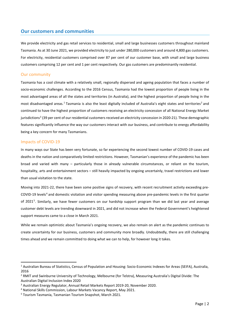### **Our customers and communities**

We provide electricity and gas retail services to residential, small and large businesses customers throughout mainland Tasmania. As at 30 June 2021, we provided electricity to just under 280,000 customers and around 4,800 gas customers. For electricity, residential customers comprised over 87 per cent of our customer base, with small and large business customers comprising 12 per cent and 1 per cent respectively. Our gas customers are predominantly residential.

#### Our community

Tasmania has a cool climate with a relatively small, regionally dispersed and ageing population that faces a number of socio-economic challenges. According to the 2016 Census, Tasmania had the lowest proportion of people living in the most advantaged areas of all the states and territories (in Australia), and the highest proportion of people living in the most disadvantaged areas.<sup>[1](#page-2-0)</sup> Tasmania is also the least digitally included of Australia's eight states and territories<sup>[2](#page-2-1)</sup> and continued to have the highest proportion of customers receiving an electricity concession of all National Energy Market jurisdictions<sup>[3](#page-2-2)</sup> (39 per cent of our residential customers received an electricity concession in 2020-21). These demographic features significantly influence the way our customers interact with our business, and contribute to energy affordability being a key concern for many Tasmanians.

#### Impacts of COVID-19

In many ways our State has been very fortunate, so far experiencing the second lowest number of COVID-19 cases and deaths in the nation and comparatively limited restrictions. However, Tasmanian's experience of the pandemic has been broad and varied with many – particularly those in already vulnerable circumstances, or reliant on the tourism, hospitality, arts and entertainment sectors – still heavily impacted by ongoing uncertainly, travel restrictions and lower than usual visitation to the state.

Moving into 2021-22, there have been some positive signs of recovery, with recent recruitment activity exceeding pre-COVID-19 levels<sup>[4](#page-2-3)</sup> and domestic visitation and visitor spending measuring above pre-pandemic levels in the first quarter of 2021[5](#page-2-4). Similarly, we have fewer customers on our hardship support program than we did last year and average customer debt levels are trending downward in 2021, and did not increase when the Federal Government's heightened support measures came to a close in March 2021.

While we remain optimistic about Tasmania's ongoing recovery, we also remain on alert as the pandemic continues to create uncertainty for our business, customers and community more broadly. Undoubtedly, there are still challenging times ahead and we remain committed to doing what we can to help, for however long it takes.

<span id="page-2-0"></span> <sup>1</sup> Australian Bureau of Statistics, Census of Population and Housing: Socio-Economic Indexes for Areas (SEIFA), Australia, 2016

<span id="page-2-1"></span><sup>&</sup>lt;sup>2</sup> RMIT and Swinburne University of Technology, Melbourne (for Telstra), Measuring Australia's Digital Divide: The Australian Digital Inclusion Index 2020

<span id="page-2-2"></span><sup>&</sup>lt;sup>3</sup> Australian Energy Regulator, Annual Retail Markets Report 2019-20, November 2020.<br><sup>4</sup> National Skills Commission, Labour Markets Vacancy Report, May 2021.

<span id="page-2-3"></span>

<span id="page-2-4"></span><sup>5</sup> Tourism Tasmania, Tasmanian Tourism Snapshot, March 2021.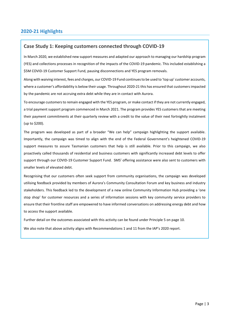# **2020-21 Highlights**

# **Case Study 1: Keeping customers connected through COVID-19**

In March 2020, we established new support measures and adapted our approach to managing our hardship program (YES) and collections processes in recognition of the impacts of the COVID-19 pandemic. This included establishing a \$5M COVID-19 Customer Support Fund, pausing disconnections and YES program removals.

Along with waiving interest, fees and charges, our COVID-19 Fund continues to be used to 'top up' customer accounts, where a customer's affordability is below their usage. Throughout 2020-21 this has ensured that customers impacted by the pandemic are not accruing extra debt while they are in contact with Aurora.

To encourage customers to remain engaged with the YES program, or make contact if they are not currently engaged, a trial payment support program commenced in March 2021. The program provides YES customers that are meeting their payment commitments at their quarterly review with a credit to the value of their next fortnightly instalment (up to \$200).

The program was developed as part of a broader "We can help" campaign highlighting the support available. Importantly, the campaign was timed to align with the end of the Federal Government's heightened COVID-19 support measures to assure Tasmanian customers that help is still available. Prior to this campaign, we also proactively called thousands of residential and business customers with significantly increased debt levels to offer support through our COVID-19 Customer Support Fund. SMS' offering assistance were also sent to customers with smaller levels of elevated debt.

Recognising that our customers often seek support from community organisations, the campaign was developed utilising feedback provided by members of Aurora's Community Consultation Forum and key business and industry stakeholders. This feedback led to the development of a new online Community Information Hub providing a 'one stop shop' for customer resources and a series of information sessions with key community service providers to ensure that their frontline staff are empowered to have informed conversations on addressing energy debt and how to access the support available.

Further detail on the outcomes associated with this activity can be found under Principle 5 on page 10.

We also note that above activity aligns with Recommendations 1 and 11 from the IAP's 2020 report.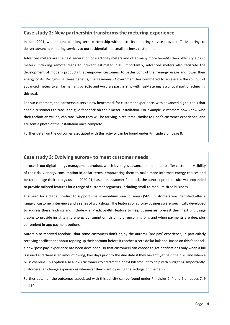#### **Case study 2: New partnership transforms the metering experience**

In June 2021, we announced a long-term partnership with electricity metering service provider, TasMetering, to deliver advanced metering services to our residential and small business customers.

Advanced meters are the next generation of electricity meters and offer many more benefits than older style basic meters, including remote reads to prevent estimated bills. Importantly, advanced meters also facilitate the development of modern products that empower customers to better control their energy usage and lower their energy costs. Recognising these benefits, the Tasmanian Government has committed to accelerate the roll out of advanced meters to all Tasmanians by 2026 and Aurora's partnership with TasMetering is a critical part of achieving this goal.

For our customers, the partnership sets a new benchmark for customer experience, with advanced digital tools that enable customers to track and give feedback on their meter installation. For example, customers now know who their technician will be, can track when they will be arriving in real time (similar to Uber's customer experience) and are sent a photo of the installation once complete.

Further detail on the outcomes associated with this activity can be found under Principle 3 on page 8.

#### **Case study 3: Evolving aurora+ to meet customer needs**

aurora+ is our digital energy management product, which leverages advanced meter data to offer customers visibility of their daily energy consumption in dollar terms, empowering them to make more informed energy choices and better manage their energy use. In 2020-21, based on customer feedback, the aurora+ product suite was expanded to provide tailored features for a range of customer segments, including small-to-medium sized business.

The need for a digital product to support small-to-medium sized business (SMB) customers was identified after a range of customer interviews and a series of workshops. The features of aurora+ business were specifically developed to address these findings and include – a 'Predict-a-Bill' feature to help businesses forecast their next bill, usage graphs to provide insights into energy consumption, visibility of upcoming bills and when payments are due, plus convenient in-app payment options.

Aurora also received feedback that some customers don't enjoy the aurora+ 'pre-pay' experience, in particularly receiving notifications about topping up their account before it reaches a zero dollar balance. Based on this feedback, a new 'post-pay' experience has been developed, so that customers can choose to get notifications only when a bill is issued and there is an amount owing, two days prior to the due date if they haven't yet paid their bill and when a bill is overdue. This option also allows customers to predict their next bill amount to help with budgeting. Importantly, customers can change experiences whenever they want by using the settings on their app.

Further detail on the outcomes associated with this activity can be found under Principles 2, 4 and 5 on pages 7, 9 and 10.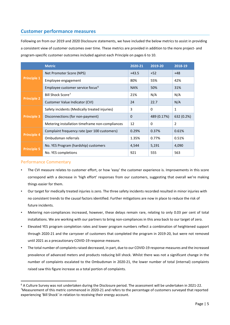# **Customer performance measures**

Following on from our 2019 and 2020 Disclosure statements, we have included the below metrics to assist in providing a consistent view of customer outcomes over time. These metrics are provided in addition to the more project- and program-specific customer outcomes included against each Principle on pages 6 to 10.

|                    | <b>Metric</b>                                   | 2020-21 | 2019-20     | 2018-19    |
|--------------------|-------------------------------------------------|---------|-------------|------------|
| <b>Principle 1</b> | Net Promoter Score (NPS)                        | $+43.5$ | $+52$       | $+48$      |
|                    | Employee engagement                             | 80%     | 55%         | 42%        |
|                    | Employee customer service focus <sup>6</sup>    | NA%     | 50%         | 31%        |
| <b>Principle 2</b> | Bill Shock Score <sup>7</sup>                   | 21%     | N/A         | N/A        |
|                    | Customer Value Indicator (CVI)                  | 24      | 22.7        | N/A        |
| <b>Principle 3</b> | Safety incidents (Medically treated injuries)   | 3       | 0           | 1          |
|                    | Disconnections (for non-payment)                | 0       | 489 (0.17%) | 632 (0.2%) |
|                    | Metering installation timeframe non-compliances | 12      | 0           | 2          |
| <b>Principle 4</b> | Complaint frequency rate (per 100 customers)    | 0.29%   | 0.37%       | 0.61%      |
|                    | Ombudsman referrals                             | 1.35%   | 0.77%       | 0.51%      |
| <b>Principle 5</b> | No. YES Program (hardship) customers            | 4,544   | 5,191       | 4,090      |
|                    | No. YES completions                             | 921     | 555         | 563        |

#### Performance Commentary

- The CVI measure relates to customer effort, or how 'easy' the customer experience is. Improvements in this score correspond with a decrease in 'high effort' responses from our customers, suggesting that overall we're making things easier for them.
- Our target for medically treated injuries is zero. The three safety incidents recorded resulted in minor injuries with no consistent trends to the causal factors identified. Further mitigations are now in place to reduce the risk of future incidents.
- Metering non-compliances increased, however, these delays remain rare, relating to only 0.03 per cent of total installations. We are working with our partners to bring non-compliances in this area back to our target of zero.
- Elevated YES program completion rates and lower program numbers reflect a combination of heightened support through 2020-21 and the carryover of customers that completed the program in 2019-20, but were not removed until 2021 as a precautionary COVID-19 response measure.
- The total number of complaints raised decreased, in part, due to our COVID-19 response measures and the increased prevalence of advanced meters and products reducing bill shock. Whilst there was not a significant change in the number of complaints escalated to the Ombudsman in 2020-21, the lower number of total (internal) complaints raised saw this figure increase as a total portion of complaints.

<span id="page-5-1"></span><span id="page-5-0"></span> <sup>6</sup> A Culture Survey was not undertaken during the Disclosure period. The assessment will be undertaken in 2021-22. <sup>7</sup>Measurement of this metric commenced in 2020-21 and refers to the percentage of customers surveyed that reported experiencing 'Bill Shock' in relation to receiving their energy account.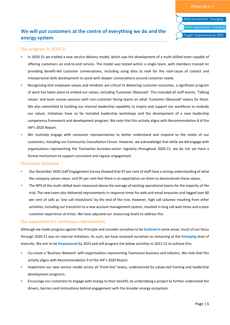# **We will put customers at the centre of everything we do and the energy system**

#### Our progress in 2020-21

- In 2020-21 we trialled a new service delivery model, which saw the development of a multi-skilled team capable of offering customers an end-to-end service. The model was tested within a single team, with members trained on providing benefit-led customer conversations, including using data to look for the root-cause of contact and interpersonal skills development to assist with deeper conversations around customer needs.
- Recognising that employee values and mindsets are critical to delivering customer outcomes, a significant program of work has taken place to embed our values, including 'Customer Obsessed'. This included all staff events, 'Talking values' and team canvas sessions with non-customer facing teams on what 'Customer Obsessed' means for them. We also committed to building our internal leadership capability to inspire and support our workforce to embody our values. Initiatives have so far included leadership workshops and the development of a new leadership competency framework and development program. We note that this activity aligns with Recommendation 8 of the IAP's 2020 Report.
- We routinely engage with consumer representatives to better understand and respond to the needs of our customers, including our Community Consultation Forum. However, we acknowledge that while we did engage with organisations representing the Tasmanian business-sector regularly throughout 2020-21, we do not yet have a formal mechanism to support consistent and regular engagement.

#### Outcomes delivered

- Our December 2020 staff Engagement Survey showed that 97 per cent of staff have a strong understanding of what the company values mean, and 95 per cent feel there is an expectation on them to demonstrate these values.
- The NPS of the multi-skilled team measured above the average of existing operational teams for the majority of the trial. The new team also delivered improvements in response times for web and email enquiries and logged over 80 per cent of calls as 'one call resolutions' by the end of the trial. However, high call volumes resulting from other activities, including our transition to a new account management system, resulted in long call wait times and a poor customer experience at times. We have adjusted our resourcing levels to address this.

#### Our aspirations for continuous improvement

Although we made progress against this Principle and consider ourselves to be **Evolved** in some areas, much of our focus through 2020-21 was on internal initiatives. As such, we have assessed ourselves as remaining at the **Emerging** level of maturity. We aim to be **Empowered** by 2023 and will progress the below activities in 2021-22 to achieve this:

- Co-create a 'Business Network' with organisations representing Tasmanian business and industry. We note that this activity aligns with Recommendation 9 of the IAP's 2020 Report.
- Implement our new service model across all 'front-line' teams, underpinned by values-led training and leadership development programs.
- Encourage our customers to engage with energy to their benefit, by undertaking a project to further understand the drivers, barriers and motivations behind engagement with the broader energy ecosystem.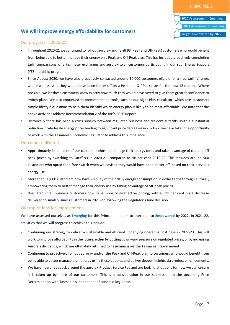

# **We will improve energy affordability for customers**

#### Our progress in 2020-21

- Throughout 2020-21 we continued to roll out aurora+ and Tariff 93 (Peak and Off-Peak) customers who would benefit from being able to better manage their energy on a Peak and Off-Peak plan. This has included proactively completing tariff comparisons, offering meter exchanges and aurora+ to all customers participating in our Your Energy Support (YES) hardship program.
- Since August 2020, we have also proactively contacted around 10,000 customers eligible for a free tariff change, where we assessed they would have been better off on a Peak and Off-Peak plan for the past 12 months. Where possible, we let these customers know exactly how much they would have saved to give them greater confidence to switch plans. We also continued to promote online tools, such as our Right Plan calculator, which asks customers simple lifestyle questions to help them identify which energy plan is likely to be most affordable. We note that the above activities address Recommendation 2 of the IAP's 2020 Report.
- Historically there has been a cross subsidy between regulated business and residential tariffs. With a substantial reduction in wholesale energy prices leading to significant price decreases in 2021-22, we have taken the opportunity to work with the Tasmanian Economic Regulator to address this imbalance.

#### Outcomes delivered

- Approximately 14 per cent of our customers chose to manage their energy costs and take advantage of cheaper off peak prices by switching to Tariff 93 in 2020-21, compared to six per cent 2019-20. This includes around 500 customers who opted for a free switch when we advised they would have been better off, based on their previous energy use.
- More than 30,000 customers now have visibility of their daily energy consumption in dollar terms through aurora+, empowering them to better manage their energy use by taking advantage of off-peak pricing.
- Regulated small business customers now have more cost-reflective pricing, with an 11 per cent price decrease delivered to small business customers in 2021-22, following the Regulator's June decision.

#### Our aspirations for improvement

We have assessed ourselves as **Emerging** for this Principle and aim to transition to **Empowered** by 2022. In 2021-22, activities that we will progress to achieve this include:

- Continuing our strategy to deliver a sustainable and efficient underlying operating cost base in 2022-23. This will work to improve affordability in the future, either by putting downward pressure on regulated prices, or by increasing Aurora's dividends, which are ultimately returned to Tasmanians via the Tasmanian Government.
- Continuing to proactively roll out aurora+ and/or the Peak and Off-Peak plan to customers who would benefit from being able to better manage their energy using these options, and deliver deeper insights via product enhancements.
- We have heard feedback around the aurora+ Product Service Fee and are looking at options for how we can ensure it is taken up by more of our customers. This is a consideration in our submission to the upcoming Price Determination with Tasmania's Independent Economic Regulator.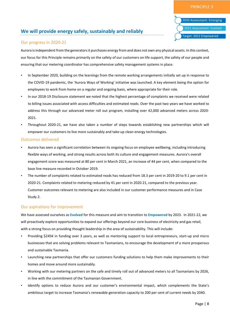# **We will provide energy safely, sustainably and reliably**

# 2020 Assessment: Emerging 2021 Assessment: Evolved Target: 2022 Empowered

#### Our progress in 2020-21

Aurora is independent from the generators it purchases energy from and does not own any physical assets. In this context, our focus for this Principle remains primarily on the safety of our customers on life support, the safety of our people and ensuring that our metering coordinator has comprehensive safety management systems in place.

- In September 2020, building on the learnings from the remote working arrangements initially set up in response to the COVID-19 pandemic, the 'Aurora Ways of Working' initiative was launched. A key element being the option for employees to work from home on a regular and ongoing basis, where appropriate for their role.
- In our 2018-19 Disclosure statement we noted that the highest percentage of complaints we received were related to billing issues associated with access difficulties and estimated reads. Over the past two years we have worked to address this through our advanced meter roll out program, installing over 42,000 advanced meters across 2020- 2021.
- Throughout 2020-21, we have also taken a number of steps towards establishing new partnerships which will empower our customers to live more sustainably and take-up clean energy technologies.

#### Outcomes delivered

- Aurora has seen a significant correlation between its ongoing focus on employee wellbeing, including introducing flexible ways of working, and strong results across both its culture and engagement measures. Aurora's overall engagement score was measured at 80 per cent in March 2021, an increase of 44 per cent, when compared to the base line measure recorded in October 2019.
- The number of complaints related to estimated reads has reduced from 18.3 per cent in 2019-20 to 9.1 per cent in 2020-21. Complaints related to metering reduced by 41 per cent in 2020-21, compared to the previous year. Customer outcomes relevant to metering are also included in our customer performance measures and in Case Study 2.

#### Our aspirations for improvement

We have assessed ourselves as **Evolved** for this measure and aim to transition to **Empowered** by 2023. In 2021-22, we will proactively explore opportunities to expand our offerings beyond our core business of electricity and gas retail, with a strong focus on providing thought leadership in the area of sustainability. This will include:

- Providing \$245K in funding over 3 years, as well as mentoring support to local entrepreneurs, start-up and micro businesses that are solving problems relevant to Tasmanians, to encourage the development of a more prosperous and sustainable Tasmania.
- Launching new partnerships that offer our customers funding solutions to help them make improvements to their homes and move around more sustainably.
- Working with our metering partners on the safe and timely roll out of advanced meters to all Tasmanians by 2026, in line with the commitment of the Tasmanian Government.
- Identify options to reduce Aurora and our customer's environmental impact, which complements the State's ambitious target to increase Tasmania's renewable generation capacity to 200 per cent of current needs by 2040.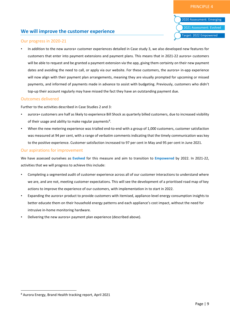# **We will improve the customer experience**

#### Our progress in 2020-21

• In addition to the new aurora+ customer experiences detailed in Case study 3, we also developed new features for customers that enter into payment extensions and payment plans. This means that in 2021-22 aurora+ customers will be able to request and be granted a payment extension via the app, giving them certainty on their new payment dates and avoiding the need to call, or apply via our website. For these customers, the aurora+ in-app experience will now align with their payment plan arrangements, meaning they are visually prompted for upcoming or missed payments, and informed of payments made in advance to assist with budgeting. Previously, customers who didn't top-up their account regularly may have missed the fact they have an outstanding payment due.

#### Outcomes delivered

Further to the activities described in Case Studies 2 and 3:

- aurora+ customers are half as likely to experience Bill Shock as quarterly billed customers, due to increased visibility of their usage and ability to make regular payments<sup>[8](#page-9-0)</sup>.
- When the new metering experience was trialled end-to-end with a group of 1,000 customers, customer satisfaction was measured at 94 per cent, with a range of verbatim comments indicating that the timely communication was key to the positive experience. Customer satisfaction increased to 97 per cent in May and 95 per cent in June 2021.

#### Our aspirations for improvement

We have assessed ourselves as **Evolved** for this measure and aim to transition to **Empowered** by 2022. In 2021-22, activities that we will progress to achieve this include:

- Completing a segmented audit of customer experience across all of our customer interactions to understand where we are, and are not, meeting customer expectations. This will see the development of a prioritised road map of key actions to improve the experience of our customers, with implementation in to start in 2022.
- Expanding the aurora+ product to provide customers with itemised, appliance-level energy consumption insights to better educate them on their household energy patterns and each appliance's cost impact, without the need for intrusive in-home monitoring hardware.
- Delivering the new aurora+ payment plan experience (described above).

<span id="page-9-0"></span> <sup>8</sup> Aurora Energy, Brand Health tracking report, April 2021